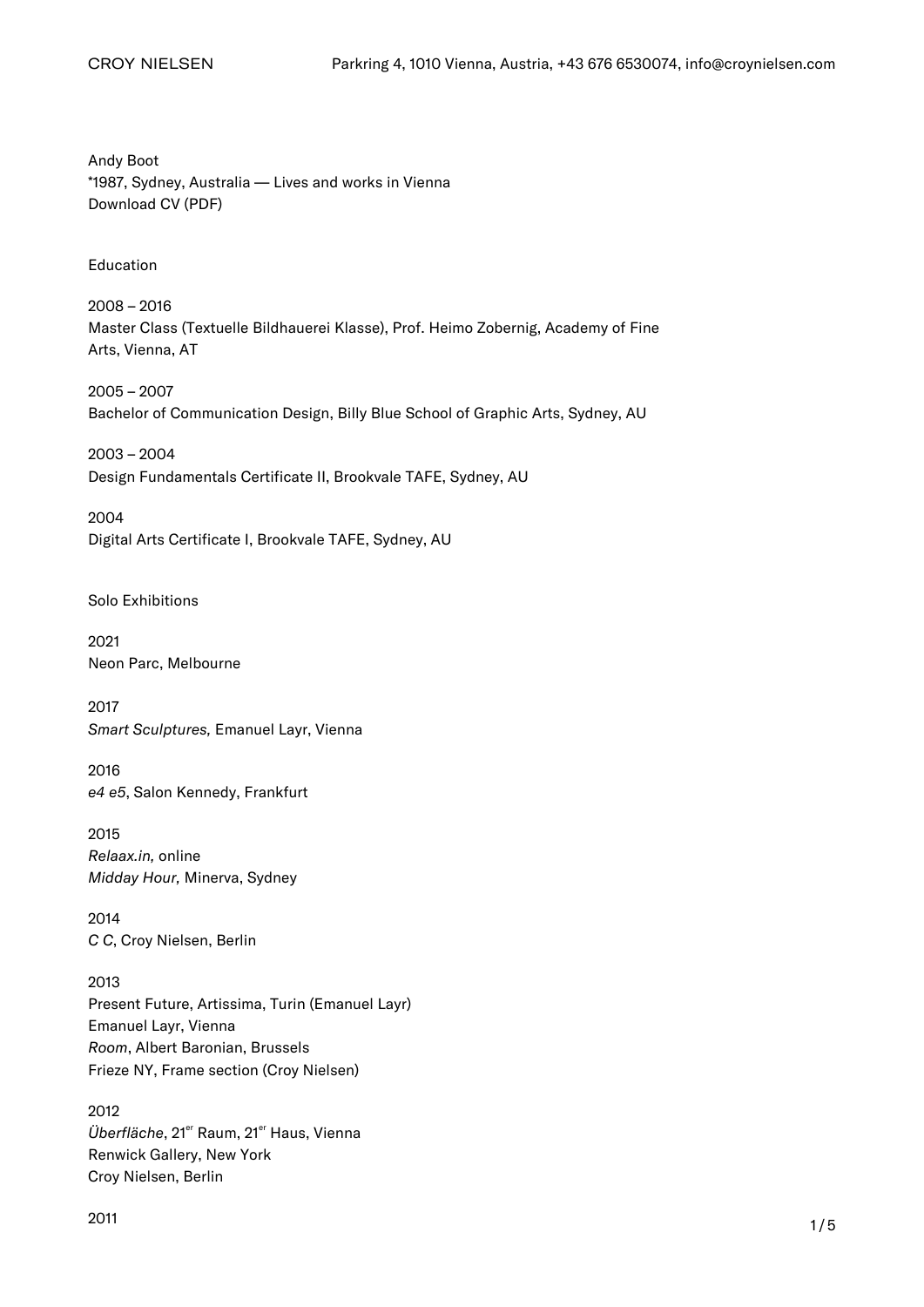Andy Boot \*1987, Sydney, Australia — Lives and works in Vienna [Download CV \(PDF\)](https://croynielsen.com/artists/andy-boot/)

Education

2008 – 2016 Master Class (Textuelle Bildhauerei Klasse), Prof. Heimo Zobernig, Academy of Fine Arts, Vienna, AT

2005 – 2007 Bachelor of Communication Design, Billy Blue School of Graphic Arts, Sydney, AU

2003 – 2004 Design Fundamentals Certificate II, Brookvale TAFE, Sydney, AU

2004 Digital Arts Certificate I, Brookvale TAFE, Sydney, AU

Solo Exhibitions

2021 Neon Parc, Melbourne

2017 Smart Sculptures, Emanuel Layr, Vienna

2016 e4 e5, Salon Kennedy, Frankfurt

2015 Relaax.in, online Midday Hour, Minerva, Sydney

2014 C C, Croy Nielsen, Berlin

2013 Present Future, Artissima, Turin (Emanuel Layr) Emanuel Layr, Vienna Room, Albert Baronian, Brussels Frieze NY, Frame section (Croy Nielsen)

2012 Überfläche, 21<sup>er</sup> Raum, 21<sup>er</sup> Haus, Vienna Renwick Gallery, New York [Croy Nielsen, Berlin](https://croynielsen.com/exhibitions/andy-boot/)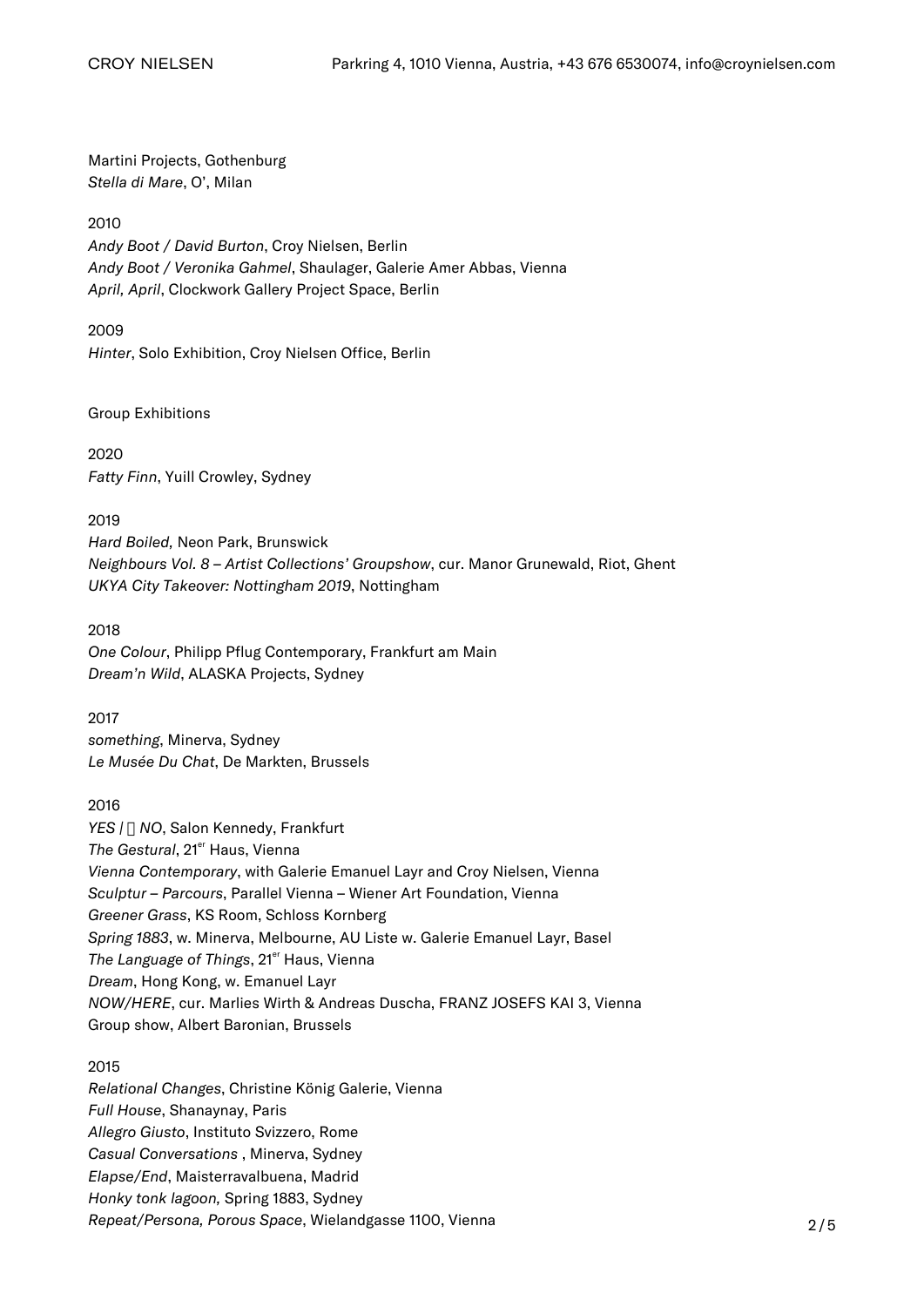Martini Projects, Gothenburg Stella di Mare, O', Milan

## 2010

Andy Boot / David Burton, Croy Nielsen, Berlin Andy Boot / Veronika Gahmel, Shaulager, Galerie Amer Abbas, Vienna April, April, Clockwork Gallery Project Space, Berlin

2009

Hinter, Solo Exhibition, Croy Nielsen Office, Berlin

Group Exhibitions

2020 Fatty Finn, Yuill Crowley, Sydney

2019 Hard Boiled, Neon Park, Brunswick Neighbours Vol. 8 – Artist Collections' Groupshow, cur. Manor Grunewald, Riot, Ghent UKYA City Takeover: Nottingham 2019, Nottingham

2018 One Colour, Philipp Pflug Contemporary, Frankfurt am Main Dream'n Wild, ALASKA Projects, Sydney

2017 something, Minerva, Sydney Le Musée Du Chat, De Markten, Brussels

2016 YES |  $\sqcap$  NO, Salon Kennedy, Frankfurt The Gestural, 21<sup>er</sup> Haus, Vienna Vienna Contemporary, with Galerie Emanuel Layr and Croy Nielsen, Vienna Sculptur – Parcours, Parallel Vienna – Wiener Art Foundation, Vienna Greener Grass, KS Room, Schloss Kornberg Spring 1883, w. Minerva, Melbourne, AU Liste w. Galerie Emanuel Layr, Basel The Language of Things, 21<sup>er</sup> Haus, Vienna Dream, Hong Kong, w. Emanuel Layr NOW/HERE, cur. Marlies Wirth & Andreas Duscha, FRANZ JOSEFS KAI 3, Vienna

Group show, Albert Baronian, Brussels

2015

Relational Changes, Christine König Galerie, Vienna Full House, Shanaynay, Paris Allegro Giusto, Instituto Svizzero, Rome Casual Conversations , Minerva, Sydney Elapse/End, Maisterravalbuena, Madrid Honky tonk lagoon, Spring 1883, Sydney Repeat/Persona, Porous Space, Wielandgasse 1100, Vienna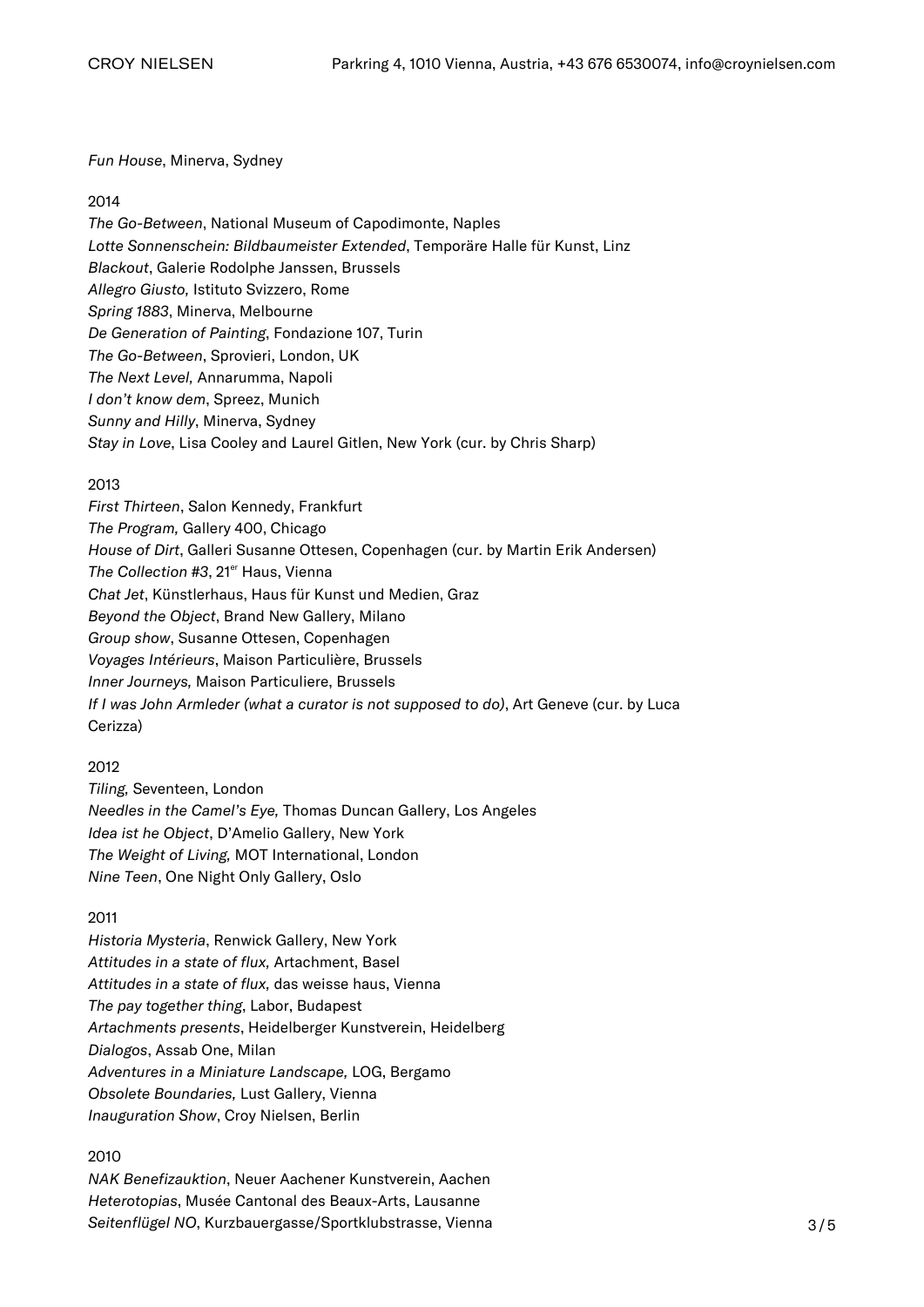### Fun House, Minerva, Sydney

#### 2014

The Go-Between, National Museum of Capodimonte, Naples Lotte Sonnenschein: Bildbaumeister Extended, Temporäre Halle für Kunst, Linz Blackout, Galerie Rodolphe Janssen, Brussels Allegro Giusto, Istituto Svizzero, Rome Spring 1883, Minerva, Melbourne De Generation of Painting, Fondazione 107, Turin The Go-Between, Sprovieri, London, UK The Next Level, Annarumma, Napoli I don't know dem, Spreez, Munich Sunny and Hilly, Minerva, Sydney Stay in Love, Lisa Cooley and Laurel Gitlen, New York (cur. by Chris Sharp)

### 2013

First Thirteen, Salon Kennedy, Frankfurt The Program, Gallery 400, Chicago House of Dirt, Galleri Susanne Ottesen, Copenhagen (cur. by Martin Erik Andersen) The Collection #3, 21<sup>er</sup> Haus, Vienna Chat Jet, Künstlerhaus, Haus für Kunst und Medien, Graz Beyond the Object, Brand New Gallery, Milano Group show, Susanne Ottesen, Copenhagen Voyages Intérieurs, Maison Particulière, Brussels Inner Journeys, Maison Particuliere, Brussels If I was John Armleder (what a curator is not supposed to do), Art Geneve (cur. by Luca Cerizza)

### 2012

Tiling, Seventeen, London Needles in the Camel's Eye, Thomas Duncan Gallery, Los Angeles Idea ist he Object, D'Amelio Gallery, New York The Weight of Living, MOT International, London Nine Teen, One Night Only Gallery, Oslo

### 2011

Historia Mysteria, Renwick Gallery, New York Attitudes in a state of flux, Artachment, Basel Attitudes in a state of flux, das weisse haus, Vienna The pay together thing, Labor, Budapest Artachments presents, Heidelberger Kunstverein, Heidelberg Dialogos, Assab One, Milan Adventures in a Miniature Landscape, LOG, Bergamo Obsolete Boundaries, Lust Gallery, Vienna Inauguration Show, Croy Nielsen, Berlin

### 2010

NAK Benefizauktion, Neuer Aachener Kunstverein, Aachen Heterotopias, Musée Cantonal des Beaux-Arts, Lausanne Seitenflügel NO, Kurzbauergasse/Sportklubstrasse, Vienna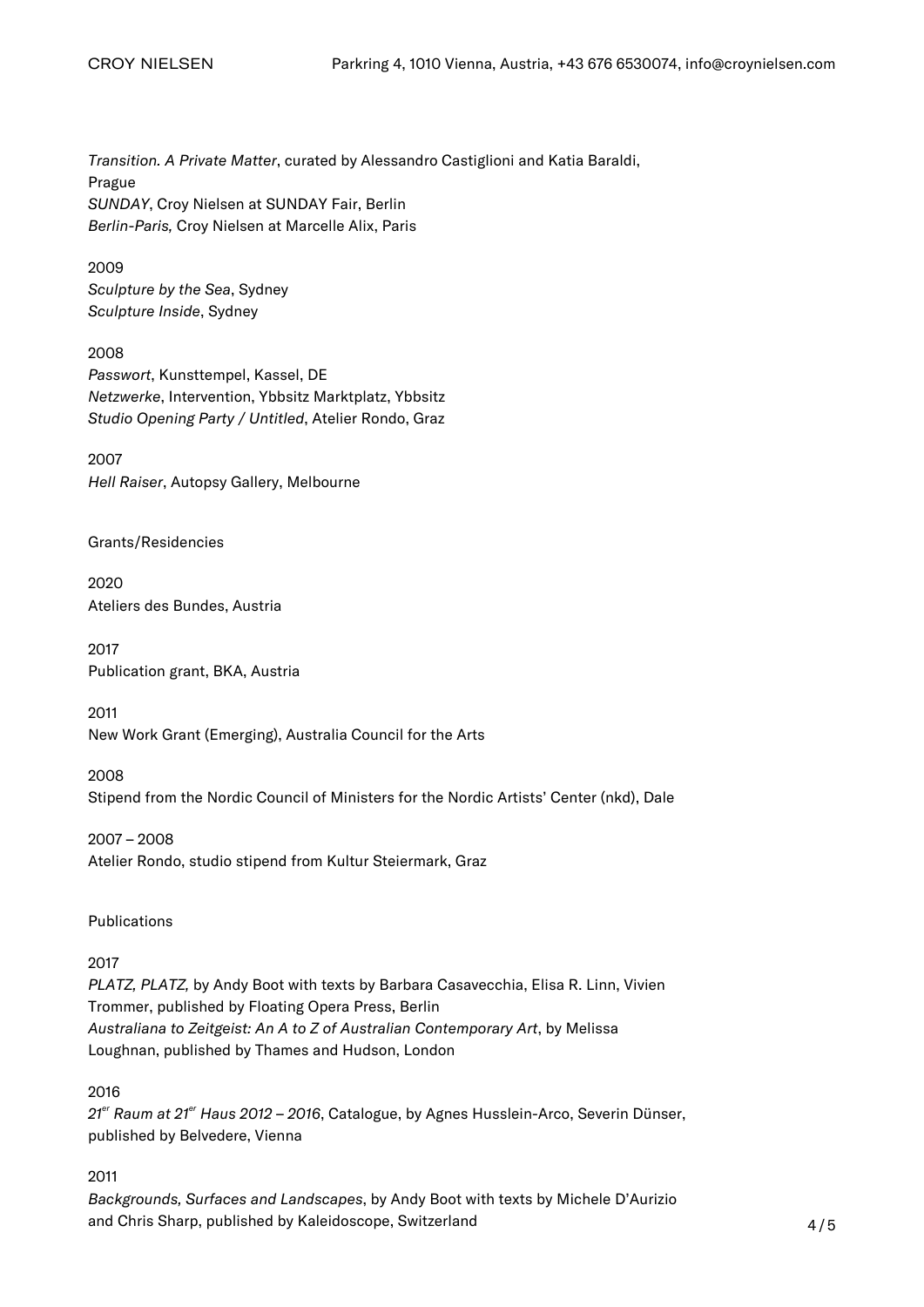Transition. A Private Matter, curated by Alessandro Castiglioni and Katia Baraldi, Prague SUNDAY, Croy Nielsen at SUNDAY Fair, Berlin Berlin-Paris, Croy Nielsen at Marcelle Alix, Paris

2009 Sculpture by the Sea, Sydney Sculpture Inside, Sydney

2008 Passwort, Kunsttempel, Kassel, DE Netzwerke, Intervention, Ybbsitz Marktplatz, Ybbsitz Studio Opening Party / Untitled, Atelier Rondo, Graz

2007 Hell Raiser, Autopsy Gallery, Melbourne

Grants/Residencies

2020 Ateliers des Bundes, Austria

2017 Publication grant, BKA, Austria

2011 New Work Grant (Emerging), Australia Council for the Arts

2008 Stipend from the Nordic Council of Ministers for the Nordic Artists' Center (nkd), Dale

2007 – 2008 Atelier Rondo, studio stipend from Kultur Steiermark, Graz

Publications

### 2017

PLATZ, PLATZ, by Andy Boot with texts by Barbara Casavecchia, Elisa R. Linn, Vivien Trommer, published by Floating Opera Press, Berlin Australiana to Zeitgeist: An A to Z of Australian Contemporary Art, by Melissa Loughnan, published by Thames and Hudson, London

2016

 $21<sup>er</sup>$  Raum at  $21<sup>er</sup>$  Haus 2012 – 2016, Catalogue, by Agnes Husslein-Arco, Severin Dünser, published by Belvedere, Vienna

2011

Backgrounds, Surfaces and Landscapes, by Andy Boot with texts by Michele D'Aurizio and Chris Sharp, published by Kaleidoscope, Switzerland